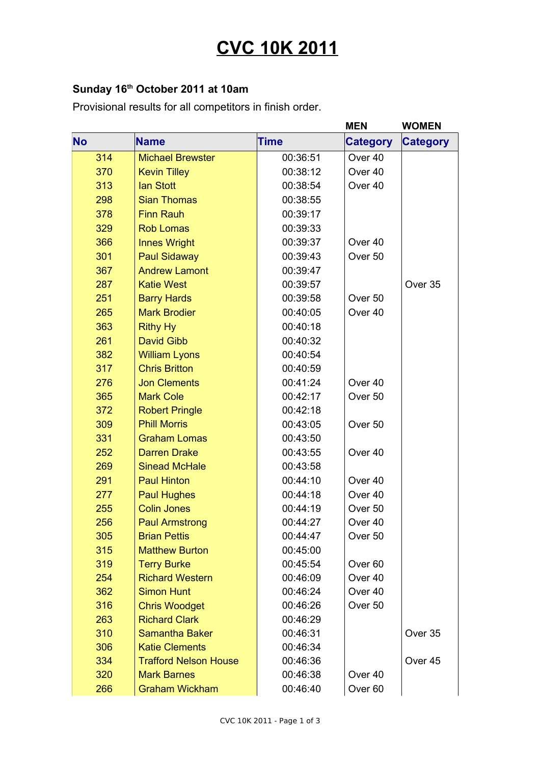## **CVC 10K 2011**

## **Sunday 16th October 2011 at 10am**

Provisional results for all competitors in finish order.

|           |                              |          | <b>MEN</b>         | <b>WOMEN</b>    |
|-----------|------------------------------|----------|--------------------|-----------------|
| <b>No</b> | <b>Name</b>                  | Time     | <b>Category</b>    | <b>Category</b> |
| 314       | <b>Michael Brewster</b>      | 00:36:51 | Over <sub>40</sub> |                 |
| 370       | <b>Kevin Tilley</b>          | 00:38:12 | Over 40            |                 |
| 313       | lan Stott                    | 00:38:54 | Over 40            |                 |
| 298       | <b>Sian Thomas</b>           | 00:38:55 |                    |                 |
| 378       | <b>Finn Rauh</b>             | 00:39:17 |                    |                 |
| 329       | <b>Rob Lomas</b>             | 00:39:33 |                    |                 |
| 366       | <b>Innes Wright</b>          | 00:39:37 | Over <sub>40</sub> |                 |
| 301       | <b>Paul Sidaway</b>          | 00:39:43 | Over 50            |                 |
| 367       | <b>Andrew Lamont</b>         | 00:39:47 |                    |                 |
| 287       | <b>Katie West</b>            | 00:39:57 |                    | Over 35         |
| 251       | <b>Barry Hards</b>           | 00:39:58 | Over <sub>50</sub> |                 |
| 265       | <b>Mark Brodier</b>          | 00:40:05 | Over 40            |                 |
| 363       | <b>Rithy Hy</b>              | 00:40:18 |                    |                 |
| 261       | <b>David Gibb</b>            | 00:40:32 |                    |                 |
| 382       | <b>William Lyons</b>         | 00:40:54 |                    |                 |
| 317       | <b>Chris Britton</b>         | 00:40:59 |                    |                 |
| 276       | <b>Jon Clements</b>          | 00:41:24 | Over <sub>40</sub> |                 |
| 365       | <b>Mark Cole</b>             | 00:42:17 | Over 50            |                 |
| 372       | <b>Robert Pringle</b>        | 00:42:18 |                    |                 |
| 309       | <b>Phill Morris</b>          | 00:43:05 | Over <sub>50</sub> |                 |
| 331       | <b>Graham Lomas</b>          | 00:43:50 |                    |                 |
| 252       | <b>Darren Drake</b>          | 00:43:55 | Over 40            |                 |
| 269       | <b>Sinead McHale</b>         | 00:43:58 |                    |                 |
| 291       | <b>Paul Hinton</b>           | 00:44:10 | Over 40            |                 |
| 277       | <b>Paul Hughes</b>           | 00:44:18 | Over 40            |                 |
| 255       | <b>Colin Jones</b>           | 00:44:19 | Over <sub>50</sub> |                 |
| 256       | <b>Paul Armstrong</b>        | 00:44:27 | Over 40            |                 |
| 305       | <b>Brian Pettis</b>          | 00:44:47 | Over 50            |                 |
| 315       | <b>Matthew Burton</b>        | 00:45:00 |                    |                 |
| 319       | <b>Terry Burke</b>           | 00:45:54 | Over <sub>60</sub> |                 |
| 254       | <b>Richard Western</b>       | 00:46:09 | Over 40            |                 |
| 362       | <b>Simon Hunt</b>            | 00:46:24 | Over 40            |                 |
| 316       | <b>Chris Woodget</b>         | 00:46:26 | Over 50            |                 |
| 263       | <b>Richard Clark</b>         | 00:46:29 |                    |                 |
| 310       | <b>Samantha Baker</b>        | 00:46:31 |                    | Over 35         |
| 306       | <b>Katie Clements</b>        | 00:46:34 |                    |                 |
| 334       | <b>Trafford Nelson House</b> | 00:46:36 |                    | Over 45         |
| 320       | <b>Mark Barnes</b>           | 00:46:38 | Over 40            |                 |
| 266       | <b>Graham Wickham</b>        | 00:46:40 | Over <sub>60</sub> |                 |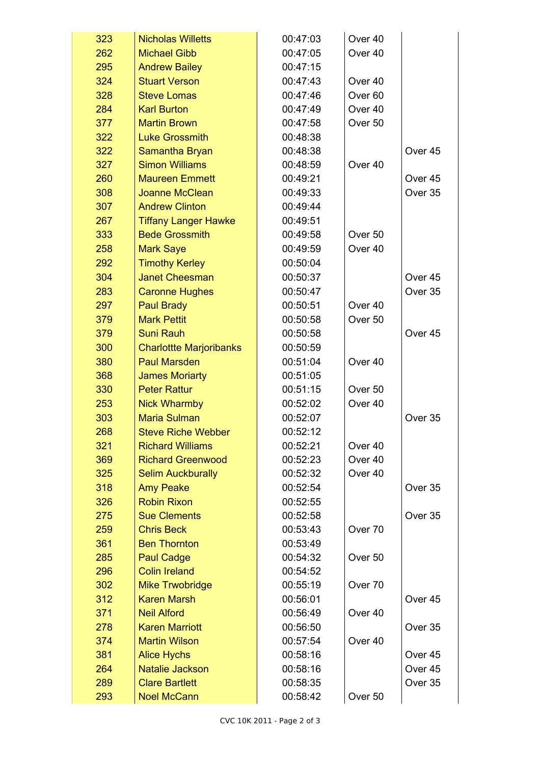| 323 | <b>Nicholas Willetts</b>       | 00:47:03 | Over 40            |                    |
|-----|--------------------------------|----------|--------------------|--------------------|
| 262 | <b>Michael Gibb</b>            | 00:47:05 | Over 40            |                    |
| 295 | <b>Andrew Bailey</b>           | 00:47:15 |                    |                    |
| 324 | <b>Stuart Verson</b>           | 00:47:43 | Over 40            |                    |
| 328 | <b>Steve Lomas</b>             | 00:47:46 | Over <sub>60</sub> |                    |
| 284 | <b>Karl Burton</b>             | 00:47:49 | Over 40            |                    |
| 377 | <b>Martin Brown</b>            | 00:47:58 | Over 50            |                    |
| 322 | <b>Luke Grossmith</b>          | 00:48:38 |                    |                    |
| 322 | Samantha Bryan                 | 00:48:38 |                    | Over <sub>45</sub> |
| 327 | <b>Simon Williams</b>          | 00:48:59 | Over 40            |                    |
| 260 | <b>Maureen Emmett</b>          | 00:49:21 |                    | Over 45            |
| 308 | <b>Joanne McClean</b>          | 00:49:33 |                    | Over 35            |
| 307 | <b>Andrew Clinton</b>          | 00:49:44 |                    |                    |
| 267 | <b>Tiffany Langer Hawke</b>    | 00:49:51 |                    |                    |
| 333 | <b>Bede Grossmith</b>          | 00:49:58 | Over <sub>50</sub> |                    |
| 258 | <b>Mark Saye</b>               | 00:49:59 | Over 40            |                    |
| 292 | <b>Timothy Kerley</b>          | 00:50:04 |                    |                    |
| 304 | <b>Janet Cheesman</b>          | 00:50:37 |                    | Over 45            |
| 283 | <b>Caronne Hughes</b>          | 00:50:47 |                    | Over 35            |
| 297 | <b>Paul Brady</b>              | 00:50:51 | Over 40            |                    |
| 379 | <b>Mark Pettit</b>             | 00:50:58 | Over <sub>50</sub> |                    |
| 379 | <b>Suni Rauh</b>               | 00:50:58 |                    | Over 45            |
| 300 | <b>Charlottte Marjoribanks</b> | 00:50:59 |                    |                    |
| 380 | <b>Paul Marsden</b>            | 00:51:04 | Over 40            |                    |
| 368 | <b>James Moriarty</b>          | 00:51:05 |                    |                    |
| 330 | <b>Peter Rattur</b>            | 00:51:15 | Over 50            |                    |
| 253 | <b>Nick Wharmby</b>            | 00:52:02 | Over 40            |                    |
| 303 | <b>Maria Sulman</b>            | 00:52:07 |                    | Over 35            |
| 268 | <b>Steve Riche Webber</b>      | 00:52:12 |                    |                    |
| 321 | <b>Richard Williams</b>        | 00:52:21 | Over 40            |                    |
| 369 | <b>Richard Greenwood</b>       | 00:52:23 | Over 40            |                    |
| 325 | <b>Selim Auckburally</b>       | 00:52:32 | Over 40            |                    |
| 318 | <b>Amy Peake</b>               | 00:52:54 |                    | Over 35            |
| 326 | <b>Robin Rixon</b>             | 00:52:55 |                    |                    |
| 275 | <b>Sue Clements</b>            | 00:52:58 |                    | Over 35            |
| 259 | <b>Chris Beck</b>              | 00:53:43 | Over <sub>70</sub> |                    |
| 361 | <b>Ben Thornton</b>            | 00:53:49 |                    |                    |
| 285 | <b>Paul Cadge</b>              | 00:54:32 | Over 50            |                    |
| 296 | <b>Colin Ireland</b>           | 00:54:52 |                    |                    |
| 302 | <b>Mike Trwobridge</b>         | 00:55:19 | Over 70            |                    |
| 312 | <b>Karen Marsh</b>             | 00:56:01 |                    | Over 45            |
| 371 | <b>Neil Alford</b>             | 00:56:49 | Over 40            |                    |
| 278 | <b>Karen Marriott</b>          | 00:56:50 |                    | Over 35            |
| 374 | <b>Martin Wilson</b>           | 00:57:54 | Over 40            |                    |
| 381 | <b>Alice Hychs</b>             | 00:58:16 |                    | Over 45            |
| 264 | <b>Natalie Jackson</b>         | 00:58:16 |                    | Over 45            |
| 289 | <b>Clare Bartlett</b>          | 00:58:35 |                    | Over 35            |
| 293 | <b>Noel McCann</b>             | 00:58:42 | Over 50            |                    |